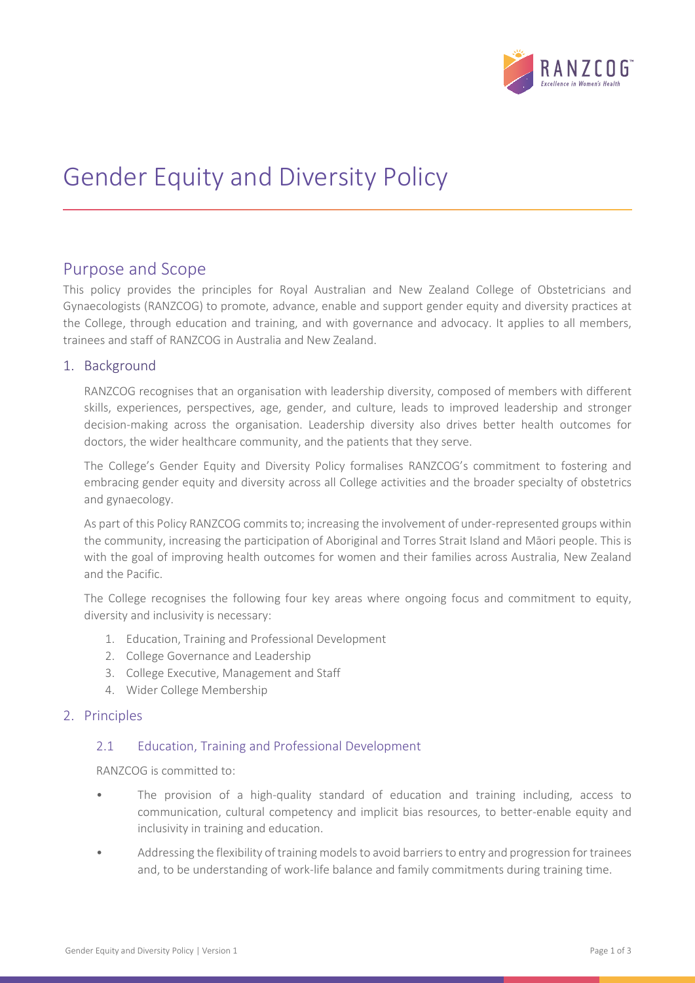

# Gender Equity and Diversity Policy

# Purpose and Scope

This policy provides the principles for Royal Australian and New Zealand College of Obstetricians and Gynaecologists (RANZCOG) to promote, advance, enable and support gender equity and diversity practices at the College, through education and training, and with governance and advocacy. It applies to all members, trainees and staff of RANZCOG in Australia and New Zealand.

# 1. Background

RANZCOG recognises that an organisation with leadership diversity, composed of members with different skills, experiences, perspectives, age, gender, and culture, leads to improved leadership and stronger decision-making across the organisation. Leadership diversity also drives better health outcomes for doctors, the wider healthcare community, and the patients that they serve.

The College's Gender Equity and Diversity Policy formalises RANZCOG's commitment to fostering and embracing gender equity and diversity across all College activities and the broader specialty of obstetrics and gynaecology.

As part of this Policy RANZCOG commits to; increasing the involvement of under-represented groups within the community, increasing the participation of Aboriginal and Torres Strait Island and Māori people. This is with the goal of improving health outcomes for women and their families across Australia, New Zealand and the Pacific.

The College recognises the following four key areas where ongoing focus and commitment to equity, diversity and inclusivity is necessary:

- 1. Education, Training and Professional Development
- 2. College Governance and Leadership
- 3. College Executive, Management and Staff
- 4. Wider College Membership

## 2. Principles

#### 2.1 Education, Training and Professional Development

RANZCOG is committed to:

- The provision of a high-quality standard of education and training including, access to communication, cultural competency and implicit bias resources, to better-enable equity and inclusivity in training and education.
- Addressing the flexibility of training models to avoid barriers to entry and progression for trainees and, to be understanding of work-life balance and family commitments during training time.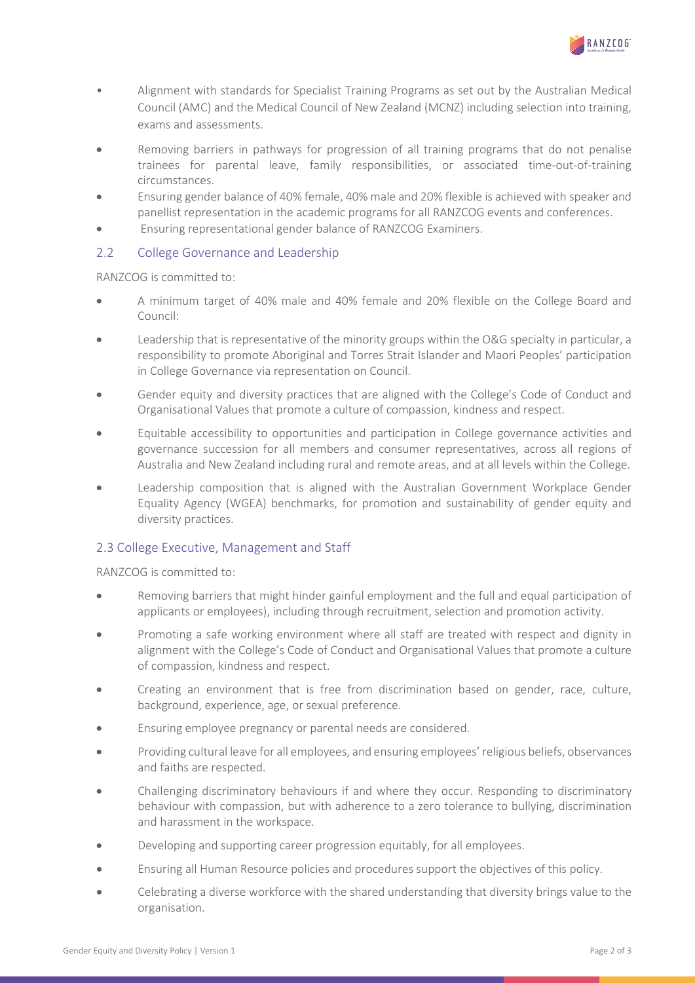

- Alignment with standards for Specialist Training Programs as set out by the Australian Medical Council (AMC) and the Medical Council of New Zealand (MCNZ) including selection into training, exams and assessments.
- Removing barriers in pathways for progression of all training programs that do not penalise trainees for parental leave, family responsibilities, or associated time-out-of-training circumstances.
- Ensuring gender balance of 40% female, 40% male and 20% flexible is achieved with speaker and panellist representation in the academic programs for all RANZCOG events and conferences.
- Ensuring representational gender balance of RANZCOG Examiners.

# 2.2 College Governance and Leadership

RANZCOG is committed to:

- A minimum target of 40% male and 40% female and 20% flexible on the College Board and Council:
- Leadership that is representative of the minority groups within the O&G specialty in particular, a responsibility to promote Aboriginal and Torres Strait Islander and Maori Peoples' participation in College Governance via representation on Council.
- Gender equity and diversity practices that are aligned with the College's Code of Conduct and Organisational Values that promote a culture of compassion, kindness and respect.
- Equitable accessibility to opportunities and participation in College governance activities and governance succession for all members and consumer representatives, across all regions of Australia and New Zealand including rural and remote areas, and at all levels within the College.
- Leadership composition that is aligned with the Australian Government Workplace Gender Equality Agency (WGEA) benchmarks, for promotion and sustainability of gender equity and diversity practices.

# 2.3 College Executive, Management and Staff

RANZCOG is committed to:

- Removing barriers that might hinder gainful employment and the full and equal participation of applicants or employees), including through recruitment, selection and promotion activity.
- Promoting a safe working environment where all staff are treated with respect and dignity in alignment with the College's Code of Conduct and Organisational Values that promote a culture of compassion, kindness and respect.
- Creating an environment that is free from discrimination based on gender, race, culture, background, experience, age, or sexual preference.
- Ensuring employee pregnancy or parental needs are considered.
- Providing cultural leave for all employees, and ensuring employees' religious beliefs, observances and faiths are respected.
- Challenging discriminatory behaviours if and where they occur. Responding to discriminatory behaviour with compassion, but with adherence to a zero tolerance to bullying, discrimination and harassment in the workspace.
- Developing and supporting career progression equitably, for all employees.
- Ensuring all Human Resource policies and procedures support the objectives of this policy.
- Celebrating a diverse workforce with the shared understanding that diversity brings value to the organisation.